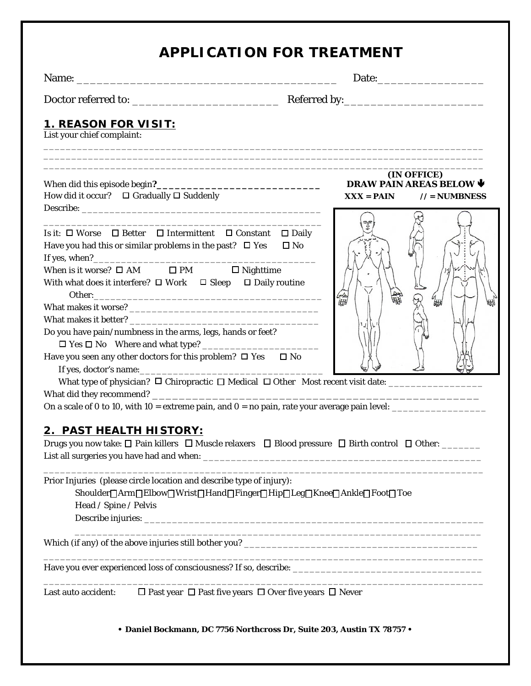| <b>APPLICATION FOR TREATMENT</b> |  |
|----------------------------------|--|
|----------------------------------|--|

Name: \_\_\_\_\_\_\_\_\_\_\_\_\_\_\_\_\_\_\_\_\_\_\_\_\_\_\_\_\_\_\_\_\_\_\_\_\_\_\_ Date:\_\_\_\_\_\_\_\_\_\_\_\_\_\_\_\_

Doctor referred to: \_\_\_\_\_\_\_\_\_\_\_\_\_\_\_\_\_\_\_\_\_\_ Referred by:\_\_\_\_\_\_\_\_\_\_\_\_\_\_\_\_\_\_\_\_\_

## **1. REASON FOR VISIT:**

List your chief complaint: \_\_\_\_\_\_\_\_\_\_\_\_\_\_\_\_\_\_\_\_\_\_\_\_\_\_\_\_\_\_\_\_\_\_\_\_\_\_\_\_\_\_\_\_\_\_\_\_\_\_\_\_\_\_\_\_\_\_\_\_\_\_\_\_\_\_\_\_\_\_\_\_\_\_\_\_\_\_\_

| Is it: □ Worse □ Better □ Intermittent □ Constant □ Daily<br>$\square$ No<br>Have you had this or similar problems in the past? $\Box$ Yes<br>When is it worse? $\square$ AM $\square$ PM $\square$ Nighttime<br>With what does it interfere? $\Box$ Work $\Box$ Sleep $\Box$ Daily routine<br>orea<br>UHN<br>Do you have pain/numbness in the arms, legs, hands or feet?<br>Have you seen any other doctors for this problem? $\Box$ Yes $\Box$ No | How did it occur? $\Box$ Gradually $\Box$ Suddenly | (IN OFFICE)<br>DRAW PAIN AREAS BELOW V<br>$XXX = PAIN$ // = NUMBNESS |  |  |  |
|-----------------------------------------------------------------------------------------------------------------------------------------------------------------------------------------------------------------------------------------------------------------------------------------------------------------------------------------------------------------------------------------------------------------------------------------------------|----------------------------------------------------|----------------------------------------------------------------------|--|--|--|
|                                                                                                                                                                                                                                                                                                                                                                                                                                                     |                                                    |                                                                      |  |  |  |
|                                                                                                                                                                                                                                                                                                                                                                                                                                                     |                                                    |                                                                      |  |  |  |
|                                                                                                                                                                                                                                                                                                                                                                                                                                                     |                                                    |                                                                      |  |  |  |
|                                                                                                                                                                                                                                                                                                                                                                                                                                                     |                                                    |                                                                      |  |  |  |
|                                                                                                                                                                                                                                                                                                                                                                                                                                                     |                                                    |                                                                      |  |  |  |
|                                                                                                                                                                                                                                                                                                                                                                                                                                                     |                                                    |                                                                      |  |  |  |
|                                                                                                                                                                                                                                                                                                                                                                                                                                                     |                                                    |                                                                      |  |  |  |
|                                                                                                                                                                                                                                                                                                                                                                                                                                                     |                                                    |                                                                      |  |  |  |
|                                                                                                                                                                                                                                                                                                                                                                                                                                                     |                                                    |                                                                      |  |  |  |

\_\_\_\_\_\_\_\_\_\_\_\_\_\_\_\_\_\_\_\_\_\_\_\_\_\_\_\_\_\_\_\_\_\_\_\_\_\_\_\_\_\_\_\_\_\_\_\_\_\_\_\_\_\_\_\_\_\_\_\_\_\_\_\_\_\_\_\_\_\_\_\_\_\_\_\_\_\_\_ \_\_\_\_\_\_\_\_\_\_\_\_\_\_\_\_\_\_\_\_\_\_\_\_\_\_\_\_\_\_\_\_\_\_\_\_\_\_\_\_\_\_\_\_\_\_\_\_\_\_\_\_\_\_\_\_\_\_\_\_\_\_\_\_\_\_\_\_\_\_\_\_\_\_\_\_\_\_\_

### **2. PAST HEALTH HISTORY:**

Drugs you now take: □ Pain killers □ Muscle relaxers □ Blood pressure □ Birth control □ Other: \_\_\_\_\_\_ List all surgeries you have had and when: \_\_\_\_\_\_\_\_\_\_\_\_\_\_\_\_\_\_\_\_\_\_\_\_\_\_\_\_\_\_\_\_\_\_\_\_\_\_\_\_\_\_\_\_\_\_\_\_\_\_

\_\_\_\_\_\_\_\_\_\_\_\_\_\_\_\_\_\_\_\_\_\_\_\_\_\_\_\_\_\_\_\_\_\_\_\_\_\_\_\_\_\_\_\_\_\_\_\_\_\_\_\_\_\_\_\_\_\_\_\_\_\_\_\_\_\_\_\_\_\_\_\_\_\_\_\_\_\_\_

\_\_\_\_\_\_\_\_\_\_\_\_\_\_\_\_\_\_\_\_\_\_\_\_\_\_\_\_\_\_\_\_\_\_\_\_\_\_\_\_\_\_\_\_\_\_\_\_\_\_\_\_\_\_\_\_\_\_\_\_\_\_\_\_\_\_\_\_\_\_\_\_\_

Prior Injuries (please circle location and describe type of injury):

Shoulder | Arm | Elbow | Wrist | Hand | Finger | Hip | Leg | Knee | Ankle | Foot | Toe Head / Spine / Pelvis

Describe injuries: \_\_\_\_\_\_\_\_\_\_\_\_\_\_\_\_\_\_\_\_\_\_\_\_\_\_\_\_\_\_\_\_\_\_\_\_\_\_\_\_\_\_\_\_\_\_\_\_\_\_\_\_\_\_\_\_\_\_\_\_\_

Which (if any) of the above injuries still bother you? \_\_\_\_\_\_\_\_\_\_\_\_\_\_\_\_\_\_\_\_\_\_\_\_\_\_\_\_\_\_\_\_\_\_\_\_\_\_\_\_\_\_

Have you ever experienced loss of consciousness? If so, describe: \_\_\_\_\_\_\_\_\_\_\_\_\_\_\_\_\_\_\_\_\_\_\_\_\_\_\_\_\_\_\_\_\_\_

Last auto accident:  $\Box$  Past year  $\Box$  Past five years  $\Box$  Over five years  $\Box$  Never

**• Daniel Bockmann, DC 7756 Northcross Dr, Suite 203, Austin TX 78757 •**

\_\_\_\_\_\_\_\_\_\_\_\_\_\_\_\_\_\_\_\_\_\_\_\_\_\_\_\_\_\_\_\_\_\_\_\_\_\_\_\_\_\_\_\_\_\_\_\_\_\_\_\_\_\_\_\_\_\_\_\_\_\_\_\_\_\_\_\_\_\_\_\_\_\_\_\_\_\_\_

\_\_\_\_\_\_\_\_\_\_\_\_\_\_\_\_\_\_\_\_\_\_\_\_\_\_\_\_\_\_\_\_\_\_\_\_\_\_\_\_\_\_\_\_\_\_\_\_\_\_\_\_\_\_\_\_\_\_\_\_\_\_\_\_\_\_\_\_\_\_\_\_\_\_\_\_\_\_\_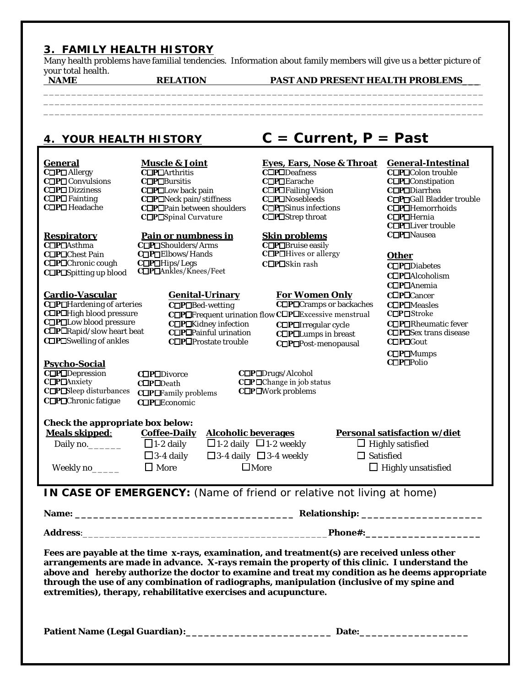## **3. FAMILY HEALTH HISTORY**

Many health problems have familial tendencies. Information about family members will give us a better picture of your total health.<br>NAME

\_\_\_\_\_\_\_\_\_\_\_\_\_\_\_\_\_\_\_\_\_\_\_\_\_\_\_\_\_\_\_\_\_\_\_\_\_\_\_\_\_\_\_\_\_\_\_\_\_\_\_\_\_\_\_\_\_\_\_\_\_\_\_\_\_\_\_\_\_\_\_\_\_\_\_\_\_\_\_ \_\_\_\_\_\_\_\_\_\_\_\_\_\_\_\_\_\_\_\_\_\_\_\_\_\_\_\_\_\_\_\_\_\_\_\_\_\_\_\_\_\_\_\_\_\_\_\_\_\_\_\_\_\_\_\_\_\_\_\_\_\_\_\_\_\_\_\_\_\_\_\_\_\_\_\_\_\_\_

\_\_\_\_\_\_\_\_\_\_\_\_\_\_\_\_\_\_\_\_\_\_\_\_\_\_\_\_\_\_\_\_\_\_\_\_\_\_\_\_\_\_\_\_\_\_\_\_\_\_\_\_\_\_\_\_\_\_\_\_\_\_\_\_\_\_\_\_\_\_\_\_\_\_\_\_\_\_\_

RELATION PAST AND PRESENT HEALTH PROBLEMS

# **4. YOUR HEALTH HISTORY C = Current, P = Past**

| General<br>COPO Allergy<br>COPOConvulsions<br>COPODizziness<br>C□P□Fainting<br>C□P□Headache                                                              | Muscle & Joint<br>C□P□Arthritis<br>C□P□Bursitis<br>C□P□Low back pain<br>C□P□Neck pain/stiffness<br>C□P□Pain between shoulders<br>$C\square$ P $\square$ Spinal Curvature                    | Eyes, Ears, Nose & Throat<br>COPODeafness<br>C□P□Earache<br>C <b>OPO</b> Failing Vision<br>C□P□Nosebleeds<br>C□P□Sinus infections<br>C□P□Strep throat                                                                                                                                                                                                                                          | General-Intestinal<br>C□P□Colon trouble<br>C□P□Constipation<br>C□P□Diarrhea<br>CDPOGall Bladder trouble<br>C□P□Hemorrhoids<br>C□P□Hernia |
|----------------------------------------------------------------------------------------------------------------------------------------------------------|---------------------------------------------------------------------------------------------------------------------------------------------------------------------------------------------|------------------------------------------------------------------------------------------------------------------------------------------------------------------------------------------------------------------------------------------------------------------------------------------------------------------------------------------------------------------------------------------------|------------------------------------------------------------------------------------------------------------------------------------------|
| Respiratory<br>COPOAsthma<br>C□P□Chest Pain<br>COPOChronic cough<br>C□P□Spitting up blood                                                                | Pain or numbness in<br>C□P□Shoulders/Arms<br>C□P□Elbows/Hands<br>C□P□Hips/Legs<br>C□P□Ankles/Knees/Feet                                                                                     | Skin problems<br>C□P□Bruise easily<br>$C\square$ P $\square$ Hives or allergy<br>C□P□Skin rash                                                                                                                                                                                                                                                                                                 | C <b>OPOLiver</b> trouble<br>C□P□Nausea<br>Other<br>C□P□Diabetes<br>COPOAIcoholism<br>C□P□Anemia                                         |
| Cardio-Vascular<br>C□P□Hardening of arteries<br>C□P□High blood pressure<br>C□P□Low blood pressure<br>C□P□Rapid/slow heart beat<br>C□P□Swelling of ankles | Genital-Urinary<br>C□P□Bed-wetting<br>C□P□Kidney infection<br>C <b>O</b> P <b>O</b> Painful urination<br>COPOProstate trouble                                                               | For Women Only<br>C□P□Cramps or backaches<br>C□P□Frequent urination flow C□P□Excessive menstrual<br>C <b>OPOIrregular</b> cycle<br>C <b>OPOL</b> umps in breast<br>C□P□Post-menopausal                                                                                                                                                                                                         | C□P□Cancer<br>COPOMeasles<br>$C\square P\square$ Stroke<br>COPORheumatic fever<br>C□P□Sex trans disease<br>COPOGout                      |
| Psycho-Social<br>COPODepression<br>$C\square$ P $\square$ Anxiety<br>$C\square$ P $\square$ Sleep disturbances<br>C□P□Chronic fatigue                    | COPODivorce<br>C□P□Death<br>$C\square P\square$ Family problems<br>COPOEconomic                                                                                                             | C□P□Drugs/Alcohol<br>$\mathbf{C}\Box\mathbf{P}\Box\mathbf{Change}$ in job status<br>C <b>OPO</b> Mork problems                                                                                                                                                                                                                                                                                 | C□P□Mumps<br>COPOPolio                                                                                                                   |
| Check the appropriate box below:<br>Meals skipped:<br>Daily no._______<br>Weekly no_____                                                                 | Alcoholic beverages<br>Coffee-Daily<br>$\Box$ 1-2 daily $\Box$ 1-2 weekly<br>$\Box$ 1-2 daily<br>$\Box$ 3-4 daily $\Box$ 3-4 weekly<br>$\Box$ 3-4 daily<br>$\square$ More<br>$\square$ More | $\Box$ Satisfied                                                                                                                                                                                                                                                                                                                                                                               | Personal satisfaction w/diet<br>$\Box$ Highly satisfied<br>$\Box$ Highly unsatisfied                                                     |
|                                                                                                                                                          |                                                                                                                                                                                             | IN CASE OF EMERGENCY: (Name of friend or relative not living at home)                                                                                                                                                                                                                                                                                                                          |                                                                                                                                          |
|                                                                                                                                                          |                                                                                                                                                                                             |                                                                                                                                                                                                                                                                                                                                                                                                |                                                                                                                                          |
|                                                                                                                                                          |                                                                                                                                                                                             |                                                                                                                                                                                                                                                                                                                                                                                                |                                                                                                                                          |
|                                                                                                                                                          | extremities), therapy, rehabilitative exercises and acupuncture.                                                                                                                            | Fees are payable at the time x-rays, examination, and treatment(s) are received unless other<br>arrangements are made in advance. X-rays remain the property of this clinic. I understand the<br>above and hereby authorize the doctor to examine and treat my condition as he deems appropriate<br>through the use of any combination of radiographs, manipulation (inclusive of my spine and |                                                                                                                                          |
|                                                                                                                                                          |                                                                                                                                                                                             | Date:                                                                                                                                                                                                                                                                                                                                                                                          |                                                                                                                                          |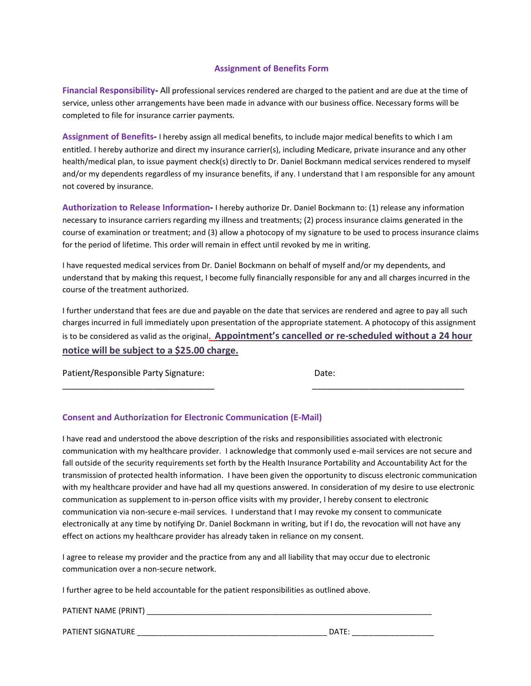#### **Assignment of Benefits Form**

**Financial Responsibility-** All professional services rendered are charged to the patient and are due at the time of service, unless other arrangements have been made in advance with our business office. Necessary forms will be completed to file for insurance carrier payments.

**Assignment of Benefits-** I hereby assign all medical benefits, to include major medical benefits to which I am entitled. I hereby authorize and direct my insurance carrier(s), including Medicare, private insurance and any other health/medical plan, to issue payment check(s) directly to Dr. Daniel Bockmann medical services rendered to myself and/or my dependents regardless of my insurance benefits, if any. I understand that I am responsible for any amount not covered by insurance.

**Authorization to Release Information-** I hereby authorize Dr. Daniel Bockmann to: (1) release any information necessary to insurance carriers regarding my illness and treatments; (2) process insurance claims generated in the course of examination or treatment; and (3) allow a photocopy of my signature to be used to process insurance claims for the period of lifetime. This order will remain in effect until revoked by me in writing.

I have requested medical services from Dr. Daniel Bockmann on behalf of myself and/or my dependents, and understand that by making this request, I become fully financially responsible for any and all charges incurred in the course of the treatment authorized.

I further understand that fees are due and payable on the date that services are rendered and agree to pay all such charges incurred in full immediately upon presentation of the appropriate statement. A photocopy of this assignment is to be considered as valid as the original**. Appointment's cancelled or re-scheduled without a 24 hour notice will be subject to a \$25.00 charge.** 

\_\_\_\_\_\_\_\_\_\_\_\_\_\_\_\_\_\_\_\_\_\_\_\_\_\_\_\_\_\_\_\_ \_\_\_\_\_\_\_\_\_\_\_\_\_\_\_\_\_\_\_\_\_\_\_\_\_\_\_\_\_\_\_\_

Patient/Responsible Party Signature: Date:

### **Consent and Authorization for Electronic Communication (E-Mail)**

I have read and understood the above description of the risks and responsibilities associated with electronic communication with my healthcare provider. I acknowledge that commonly used e-mail services are not secure and fall outside of the security requirements set forth by the Health Insurance Portability and Accountability Act for the transmission of protected health information. I have been given the opportunity to discuss electronic communication with my healthcare provider and have had all my questions answered. In consideration of my desire to use electronic communication as supplement to in-person office visits with my provider, I hereby consent to electronic communication via non-secure e-mail services. I understand that I may revoke my consent to communicate electronically at any time by notifying Dr. Daniel Bockmann in writing, but if I do, the revocation will not have any effect on actions my healthcare provider has already taken in reliance on my consent.

I agree to release my provider and the practice from any and all liability that may occur due to electronic communication over a non-secure network.

I further agree to be held accountable for the patient responsibilities as outlined above.

| PATIENT NAME (PRINT) |
|----------------------|
|----------------------|

PATIENT SIGNATURE \_\_\_\_\_\_\_\_\_\_\_\_\_\_\_\_\_\_\_\_\_\_\_\_\_\_\_\_\_\_\_\_\_\_\_\_\_\_\_\_\_\_\_\_ DATE: \_\_\_\_\_\_\_\_\_\_\_\_\_\_\_\_\_\_\_